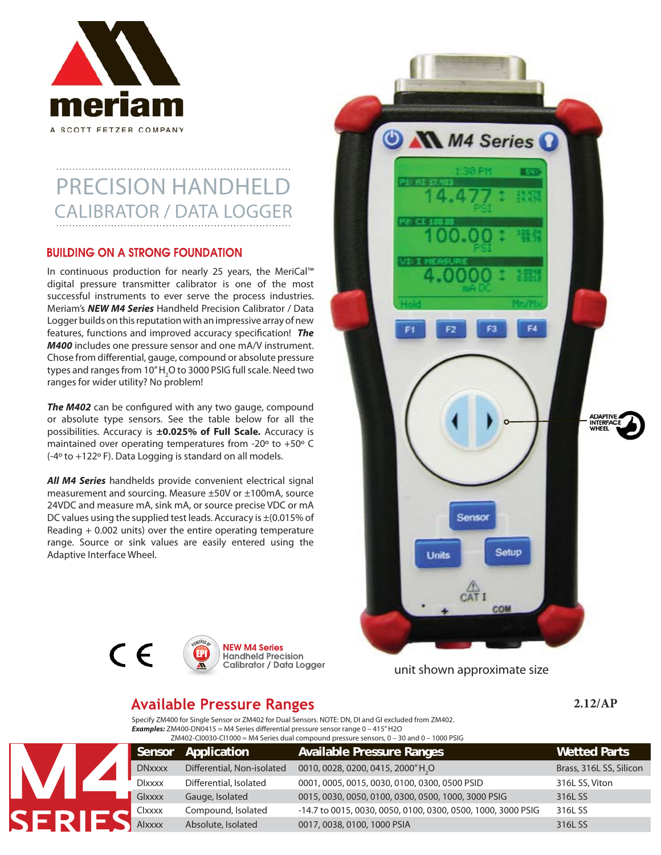

# PRECISION HANDHEL CALIBRATOR / DATA LOGGER

# **BUILDING ON A STRONG FOUNDATION**

In continuous production for nearly 25 years, the MeriCal™ digital pressure transmitter calibrator is one of the most successful instruments to ever serve the process industries. Meriam's *NEW M4 Series* Handheld Precision Calibrator / Data Logger builds on this reputation with an impressive array of new features, functions and improved accuracy specification! *The M400* includes one pressure sensor and one mA/V instrument. Chose from differential, gauge, compound or absolute pressure types and ranges from 10"H<sub>2</sub>O to 3000 PSIG full scale. Need two ranges for wider utility? No problem!

**The M402** can be configured with any two gauge, compound or absolute type sensors. See the table below for all the possibilities. Accuracy is **±0.025% of Full Scale.** Accuracy is maintained over operating temperatures from -20º to +50º C (-4º to +122º F). Data Logging is standard on all models.

*All M4 Series* handhelds provide convenient electrical signal measurement and sourcing. Measure ±50V or ±100mA, source 24VDC and measure mA, sink mA, or source precise VDC or mA DC values using the supplied test leads. Accuracy is ±(0.015% of Reading + 0.002 units) over the entire operating temperature range. Source or sink values are easily entered using the Adaptive Interface Wheel.







unit shown approximate size

# **Available Pressure Ranges**

powered By EPI

**2.12/AP**

Specify ZM400 for Single Sensor or ZM402 for Dual Sensors. NOTE: DN, DI and GI excluded from ZM402. *Examples:* ZM400-DN0415 = M4 Series differential pressure sensor range 0 – 415" H2O ZM402-CI0030-CI1000 = M4 Series dual compound pressure sensors,  $0 - 30$  and  $0 - 1000$  PSIG

|  |  | Sensor        | Application                | <b>Available Pressure Ranges</b>                             | <b>Wetted Parts</b>     |  |
|--|--|---------------|----------------------------|--------------------------------------------------------------|-------------------------|--|
|  |  | <b>DNxxxx</b> | Differential, Non-isolated | 0010, 0028, 0200, 0415, 2000"H2O                             | Brass, 316L SS, Silicon |  |
|  |  | <b>DIXXXX</b> | Differential, Isolated     | 0001, 0005, 0015, 0030, 0100, 0300, 0500 PSID                | 316L SS, Viton          |  |
|  |  | <b>Glxxxx</b> | Gauge, Isolated            | 0015, 0030, 0050, 0100, 0300, 0500, 1000, 3000 PSIG          | 316L SS                 |  |
|  |  | Clxxxx        | Compound, Isolated         | -14.7 to 0015, 0030, 0050, 0100, 0300, 0500, 1000, 3000 PSIG | 316L SS                 |  |
|  |  | Alxxxx        | Absolute, Isolated         | 0017, 0038, 0100, 1000 PSIA                                  | 316L SS                 |  |
|  |  |               |                            | ERIE                                                         |                         |  |